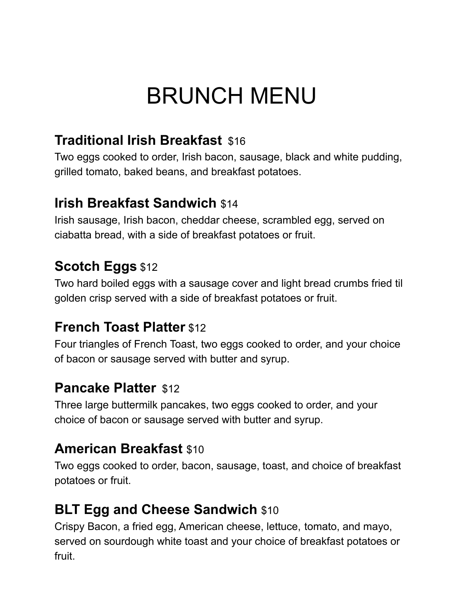# BRUNCH MENU

## **Traditional Irish Breakfast** \$16

Two eggs cooked to order, Irish bacon, sausage, black and white pudding, grilled tomato, baked beans, and breakfast potatoes.

### **Irish Breakfast Sandwich** \$14

Irish sausage, Irish bacon, cheddar cheese, scrambled egg, served on ciabatta bread, with a side of breakfast potatoes or fruit.

## **Scotch Eggs** \$12

Two hard boiled eggs with a sausage cover and light bread crumbs fried til golden crisp served with a side of breakfast potatoes or fruit.

### **French Toast Platter** \$12

Four triangles of French Toast, two eggs cooked to order, and your choice of bacon or sausage served with butter and syrup.

#### **Pancake Platter** \$12

Three large buttermilk pancakes, two eggs cooked to order, and your choice of bacon or sausage served with butter and syrup.

### **American Breakfast** \$10

Two eggs cooked to order, bacon, sausage, toast, and choice of breakfast potatoes or fruit.

## **BLT Egg and Cheese Sandwich \$10**

Crispy Bacon, a fried egg, American cheese, lettuce, tomato, and mayo, served on sourdough white toast and your choice of breakfast potatoes or fruit.